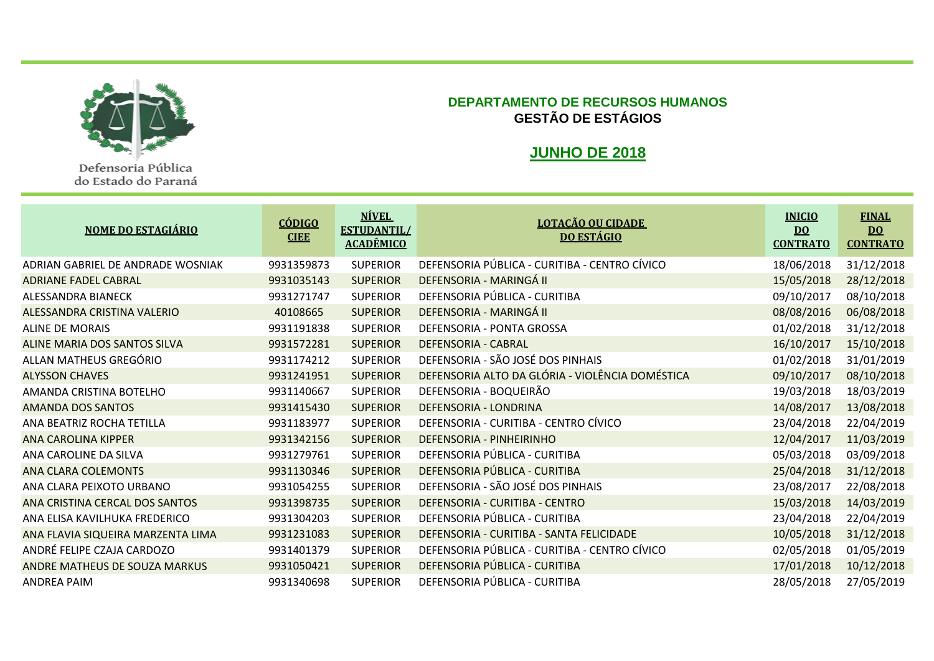

Defensoria Pública do Estado do Paraná

## **DEPARTAMENTO DE RECURSOS HUMANOS GESTÃO DE ESTÁGIOS**

## **JUNHO DE 2018**

| <b>NOME DO ESTAGIÁRIO</b>         | <b>CÓDIGO</b><br><b>CIEE</b> | <b>NÍVEL</b><br><b>ESTUDANTIL/</b><br><b>ACADÊMICO</b> | <b>LOTAÇÃO OU CIDADE</b><br><b>DO ESTÁGIO</b>   | <b>INICIO</b><br>$\overline{D}0$<br><b>CONTRATO</b> | <b>FINAL</b><br>$\underline{DO}$<br><b>CONTRATO</b> |
|-----------------------------------|------------------------------|--------------------------------------------------------|-------------------------------------------------|-----------------------------------------------------|-----------------------------------------------------|
| ADRIAN GABRIEL DE ANDRADE WOSNIAK | 9931359873                   | <b>SUPERIOR</b>                                        | DEFENSORIA PÚBLICA - CURITIBA - CENTRO CÍVICO   | 18/06/2018                                          | 31/12/2018                                          |
| <b>ADRIANE FADEL CABRAL</b>       | 9931035143                   | <b>SUPERIOR</b>                                        | DEFENSORIA - MARINGÁ II                         | 15/05/2018                                          | 28/12/2018                                          |
| ALESSANDRA BIANECK                | 9931271747                   | <b>SUPERIOR</b>                                        | DEFENSORIA PÚBLICA - CURITIBA                   | 09/10/2017                                          | 08/10/2018                                          |
| ALESSANDRA CRISTINA VALERIO       | 40108665                     | <b>SUPERIOR</b>                                        | DEFENSORIA - MARINGÁ II                         | 08/08/2016                                          | 06/08/2018                                          |
| <b>ALINE DE MORAIS</b>            | 9931191838                   | <b>SUPERIOR</b>                                        | DEFENSORIA - PONTA GROSSA                       | 01/02/2018                                          | 31/12/2018                                          |
| ALINE MARIA DOS SANTOS SILVA      | 9931572281                   | <b>SUPERIOR</b>                                        | <b>DEFENSORIA - CABRAL</b>                      | 16/10/2017                                          | 15/10/2018                                          |
| ALLAN MATHEUS GREGÓRIO            | 9931174212                   | <b>SUPERIOR</b>                                        | DEFENSORIA - SÃO JOSÉ DOS PINHAIS               | 01/02/2018                                          | 31/01/2019                                          |
| <b>ALYSSON CHAVES</b>             | 9931241951                   | <b>SUPERIOR</b>                                        | DEFENSORIA ALTO DA GLÓRIA - VIOLÊNCIA DOMÉSTICA | 09/10/2017                                          | 08/10/2018                                          |
| AMANDA CRISTINA BOTELHO           | 9931140667                   | <b>SUPERIOR</b>                                        | DEFENSORIA - BOQUEIRÃO                          | 19/03/2018                                          | 18/03/2019                                          |
| <b>AMANDA DOS SANTOS</b>          | 9931415430                   | <b>SUPERIOR</b>                                        | <b>DEFENSORIA - LONDRINA</b>                    | 14/08/2017                                          | 13/08/2018                                          |
| ANA BEATRIZ ROCHA TETILLA         | 9931183977                   | <b>SUPERIOR</b>                                        | DEFENSORIA - CURITIBA - CENTRO CÍVICO           | 23/04/2018                                          | 22/04/2019                                          |
| <b>ANA CAROLINA KIPPER</b>        | 9931342156                   | <b>SUPERIOR</b>                                        | DEFENSORIA - PINHEIRINHO                        | 12/04/2017                                          | 11/03/2019                                          |
| ANA CAROLINE DA SILVA             | 9931279761                   | <b>SUPERIOR</b>                                        | DEFENSORIA PÚBLICA - CURITIBA                   | 05/03/2018                                          | 03/09/2018                                          |
| <b>ANA CLARA COLEMONTS</b>        | 9931130346                   | <b>SUPERIOR</b>                                        | DEFENSORIA PÚBLICA - CURITIBA                   | 25/04/2018                                          | 31/12/2018                                          |
| ANA CLARA PEIXOTO URBANO          | 9931054255                   | <b>SUPERIOR</b>                                        | DEFENSORIA - SÃO JOSÉ DOS PINHAIS               | 23/08/2017                                          | 22/08/2018                                          |
| ANA CRISTINA CERCAL DOS SANTOS    | 9931398735                   | <b>SUPERIOR</b>                                        | DEFENSORIA - CURITIBA - CENTRO                  | 15/03/2018                                          | 14/03/2019                                          |
| ANA ELISA KAVILHUKA FREDERICO     | 9931304203                   | <b>SUPERIOR</b>                                        | DEFENSORIA PÚBLICA - CURITIBA                   | 23/04/2018                                          | 22/04/2019                                          |
| ANA FLAVIA SIQUEIRA MARZENTA LIMA | 9931231083                   | <b>SUPERIOR</b>                                        | DEFENSORIA - CURITIBA - SANTA FELICIDADE        | 10/05/2018                                          | 31/12/2018                                          |
| ANDRÉ FELIPE CZAJA CARDOZO        | 9931401379                   | <b>SUPERIOR</b>                                        | DEFENSORIA PÚBLICA - CURITIBA - CENTRO CÍVICO   | 02/05/2018                                          | 01/05/2019                                          |
| ANDRE MATHEUS DE SOUZA MARKUS     | 9931050421                   | <b>SUPERIOR</b>                                        | DEFENSORIA PÚBLICA - CURITIBA                   | 17/01/2018                                          | 10/12/2018                                          |
| <b>ANDREA PAIM</b>                | 9931340698                   | <b>SUPERIOR</b>                                        | DEFENSORIA PÚBLICA - CURITIBA                   | 28/05/2018                                          | 27/05/2019                                          |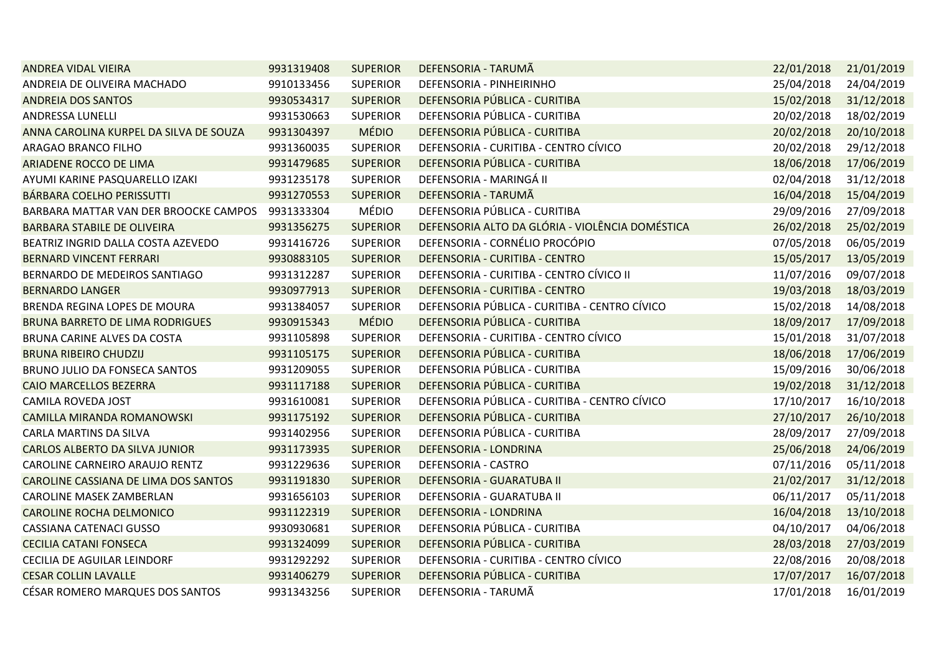| <b>ANDREA VIDAL VIEIRA</b>             | 9931319408 | <b>SUPERIOR</b> | DEFENSORIA - TARUMÃ                             | 22/01/2018 | 21/01/2019 |
|----------------------------------------|------------|-----------------|-------------------------------------------------|------------|------------|
| ANDREIA DE OLIVEIRA MACHADO            | 9910133456 | <b>SUPERIOR</b> | DEFENSORIA - PINHEIRINHO                        | 25/04/2018 | 24/04/2019 |
| <b>ANDREIA DOS SANTOS</b>              | 9930534317 | <b>SUPERIOR</b> | DEFENSORIA PÚBLICA - CURITIBA                   | 15/02/2018 | 31/12/2018 |
| ANDRESSA LUNELLI                       | 9931530663 | <b>SUPERIOR</b> | DEFENSORIA PÚBLICA - CURITIBA                   | 20/02/2018 | 18/02/2019 |
| ANNA CAROLINA KURPEL DA SILVA DE SOUZA | 9931304397 | <b>MÉDIO</b>    | DEFENSORIA PÚBLICA - CURITIBA                   | 20/02/2018 | 20/10/2018 |
| ARAGAO BRANCO FILHO                    | 9931360035 | <b>SUPERIOR</b> | DEFENSORIA - CURITIBA - CENTRO CÍVICO           | 20/02/2018 | 29/12/2018 |
| ARIADENE ROCCO DE LIMA                 | 9931479685 | <b>SUPERIOR</b> | DEFENSORIA PÚBLICA - CURITIBA                   | 18/06/2018 | 17/06/2019 |
| AYUMI KARINE PASQUARELLO IZAKI         | 9931235178 | <b>SUPERIOR</b> | DEFENSORIA - MARINGÁ II                         | 02/04/2018 | 31/12/2018 |
| BÁRBARA COELHO PERISSUTTI              | 9931270553 | <b>SUPERIOR</b> | DEFENSORIA - TARUMÃ                             | 16/04/2018 | 15/04/2019 |
| BARBARA MATTAR VAN DER BROOCKE CAMPOS  | 9931333304 | MÉDIO           | DEFENSORIA PÚBLICA - CURITIBA                   | 29/09/2016 | 27/09/2018 |
| <b>BARBARA STABILE DE OLIVEIRA</b>     | 9931356275 | <b>SUPERIOR</b> | DEFENSORIA ALTO DA GLÓRIA - VIOLÊNCIA DOMÉSTICA | 26/02/2018 | 25/02/2019 |
| BEATRIZ INGRID DALLA COSTA AZEVEDO     | 9931416726 | <b>SUPERIOR</b> | DEFENSORIA - CORNÉLIO PROCÓPIO                  | 07/05/2018 | 06/05/2019 |
| BERNARD VINCENT FERRARI                | 9930883105 | <b>SUPERIOR</b> | DEFENSORIA - CURITIBA - CENTRO                  | 15/05/2017 | 13/05/2019 |
| BERNARDO DE MEDEIROS SANTIAGO          | 9931312287 | <b>SUPERIOR</b> | DEFENSORIA - CURITIBA - CENTRO CÍVICO II        | 11/07/2016 | 09/07/2018 |
| <b>BERNARDO LANGER</b>                 | 9930977913 | <b>SUPERIOR</b> | DEFENSORIA - CURITIBA - CENTRO                  | 19/03/2018 | 18/03/2019 |
| BRENDA REGINA LOPES DE MOURA           | 9931384057 | <b>SUPERIOR</b> | DEFENSORIA PÚBLICA - CURITIBA - CENTRO CÍVICO   | 15/02/2018 | 14/08/2018 |
| <b>BRUNA BARRETO DE LIMA RODRIGUES</b> | 9930915343 | <b>MÉDIO</b>    | DEFENSORIA PÚBLICA - CURITIBA                   | 18/09/2017 | 17/09/2018 |
| BRUNA CARINE ALVES DA COSTA            | 9931105898 | <b>SUPERIOR</b> | DEFENSORIA - CURITIBA - CENTRO CÍVICO           | 15/01/2018 | 31/07/2018 |
| <b>BRUNA RIBEIRO CHUDZIJ</b>           | 9931105175 | <b>SUPERIOR</b> | DEFENSORIA PÚBLICA - CURITIBA                   | 18/06/2018 | 17/06/2019 |
| BRUNO JULIO DA FONSECA SANTOS          | 9931209055 | <b>SUPERIOR</b> | DEFENSORIA PÚBLICA - CURITIBA                   | 15/09/2016 | 30/06/2018 |
| <b>CAIO MARCELLOS BEZERRA</b>          | 9931117188 | <b>SUPERIOR</b> | DEFENSORIA PÚBLICA - CURITIBA                   | 19/02/2018 | 31/12/2018 |
| CAMILA ROVEDA JOST                     | 9931610081 | <b>SUPERIOR</b> | DEFENSORIA PÚBLICA - CURITIBA - CENTRO CÍVICO   | 17/10/2017 | 16/10/2018 |
| <b>CAMILLA MIRANDA ROMANOWSKI</b>      | 9931175192 | <b>SUPERIOR</b> | DEFENSORIA PÚBLICA - CURITIBA                   | 27/10/2017 | 26/10/2018 |
| CARLA MARTINS DA SILVA                 | 9931402956 | <b>SUPERIOR</b> | DEFENSORIA PÚBLICA - CURITIBA                   | 28/09/2017 | 27/09/2018 |
| CARLOS ALBERTO DA SILVA JUNIOR         | 9931173935 | <b>SUPERIOR</b> | DEFENSORIA - LONDRINA                           | 25/06/2018 | 24/06/2019 |
| CAROLINE CARNEIRO ARAUJO RENTZ         | 9931229636 | <b>SUPERIOR</b> | DEFENSORIA - CASTRO                             | 07/11/2016 | 05/11/2018 |
| CAROLINE CASSIANA DE LIMA DOS SANTOS   | 9931191830 | <b>SUPERIOR</b> | DEFENSORIA - GUARATUBA II                       | 21/02/2017 | 31/12/2018 |
| CAROLINE MASEK ZAMBERLAN               | 9931656103 | <b>SUPERIOR</b> | DEFENSORIA - GUARATUBA II                       | 06/11/2017 | 05/11/2018 |
| <b>CAROLINE ROCHA DELMONICO</b>        | 9931122319 | <b>SUPERIOR</b> | DEFENSORIA - LONDRINA                           | 16/04/2018 | 13/10/2018 |
| CASSIANA CATENACI GUSSO                | 9930930681 | <b>SUPERIOR</b> | DEFENSORIA PÚBLICA - CURITIBA                   | 04/10/2017 | 04/06/2018 |
| <b>CECILIA CATANI FONSECA</b>          | 9931324099 | <b>SUPERIOR</b> | DEFENSORIA PÚBLICA - CURITIBA                   | 28/03/2018 | 27/03/2019 |
| CECILIA DE AGUILAR LEINDORF            | 9931292292 | <b>SUPERIOR</b> | DEFENSORIA - CURITIBA - CENTRO CÍVICO           | 22/08/2016 | 20/08/2018 |
| <b>CESAR COLLIN LAVALLE</b>            | 9931406279 | <b>SUPERIOR</b> | DEFENSORIA PÚBLICA - CURITIBA                   | 17/07/2017 | 16/07/2018 |
| CÉSAR ROMERO MARQUES DOS SANTOS        | 9931343256 | <b>SUPERIOR</b> | DEFENSORIA - TARUMÃ                             | 17/01/2018 | 16/01/2019 |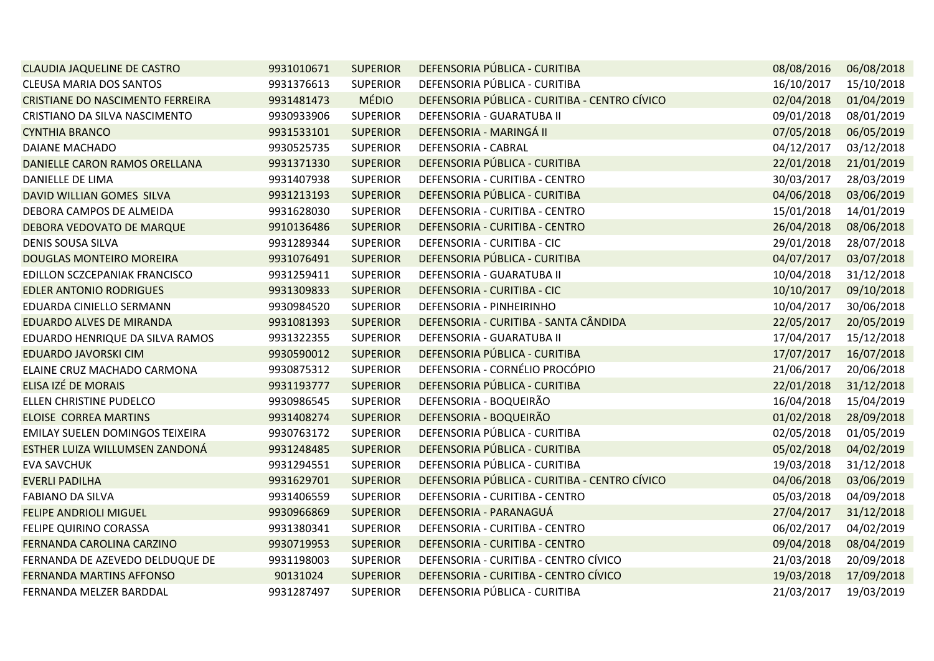| <b>CLAUDIA JAQUELINE DE CASTRO</b> | 9931010671 | <b>SUPERIOR</b> | DEFENSORIA PÚBLICA - CURITIBA                 | 08/08/2016 | 06/08/2018 |
|------------------------------------|------------|-----------------|-----------------------------------------------|------------|------------|
| <b>CLEUSA MARIA DOS SANTOS</b>     | 9931376613 | <b>SUPERIOR</b> | DEFENSORIA PÚBLICA - CURITIBA                 | 16/10/2017 | 15/10/2018 |
| CRISTIANE DO NASCIMENTO FERREIRA   | 9931481473 | <b>MÉDIO</b>    | DEFENSORIA PÚBLICA - CURITIBA - CENTRO CÍVICO | 02/04/2018 | 01/04/2019 |
| CRISTIANO DA SILVA NASCIMENTO      | 9930933906 | <b>SUPERIOR</b> | DEFENSORIA - GUARATUBA II                     | 09/01/2018 | 08/01/2019 |
| <b>CYNTHIA BRANCO</b>              | 9931533101 | <b>SUPERIOR</b> | DEFENSORIA - MARINGÁ II                       | 07/05/2018 | 06/05/2019 |
| DAIANE MACHADO                     | 9930525735 | <b>SUPERIOR</b> | DEFENSORIA - CABRAL                           | 04/12/2017 | 03/12/2018 |
| DANIELLE CARON RAMOS ORELLANA      | 9931371330 | <b>SUPERIOR</b> | DEFENSORIA PÚBLICA - CURITIBA                 | 22/01/2018 | 21/01/2019 |
| DANIELLE DE LIMA                   | 9931407938 | <b>SUPERIOR</b> | DEFENSORIA - CURITIBA - CENTRO                | 30/03/2017 | 28/03/2019 |
| DAVID WILLIAN GOMES SILVA          | 9931213193 | <b>SUPERIOR</b> | DEFENSORIA PÚBLICA - CURITIBA                 | 04/06/2018 | 03/06/2019 |
| DEBORA CAMPOS DE ALMEIDA           | 9931628030 | <b>SUPERIOR</b> | DEFENSORIA - CURITIBA - CENTRO                | 15/01/2018 | 14/01/2019 |
| DEBORA VEDOVATO DE MARQUE          | 9910136486 | <b>SUPERIOR</b> | DEFENSORIA - CURITIBA - CENTRO                | 26/04/2018 | 08/06/2018 |
| <b>DENIS SOUSA SILVA</b>           | 9931289344 | <b>SUPERIOR</b> | DEFENSORIA - CURITIBA - CIC                   | 29/01/2018 | 28/07/2018 |
| DOUGLAS MONTEIRO MOREIRA           | 9931076491 | <b>SUPERIOR</b> | DEFENSORIA PÚBLICA - CURITIBA                 | 04/07/2017 | 03/07/2018 |
| EDILLON SCZCEPANIAK FRANCISCO      | 9931259411 | <b>SUPERIOR</b> | DEFENSORIA - GUARATUBA II                     | 10/04/2018 | 31/12/2018 |
| <b>EDLER ANTONIO RODRIGUES</b>     | 9931309833 | <b>SUPERIOR</b> | DEFENSORIA - CURITIBA - CIC                   | 10/10/2017 | 09/10/2018 |
| EDUARDA CINIELLO SERMANN           | 9930984520 | <b>SUPERIOR</b> | DEFENSORIA - PINHEIRINHO                      | 10/04/2017 | 30/06/2018 |
| EDUARDO ALVES DE MIRANDA           | 9931081393 | <b>SUPERIOR</b> | DEFENSORIA - CURITIBA - SANTA CÂNDIDA         | 22/05/2017 | 20/05/2019 |
| EDUARDO HENRIQUE DA SILVA RAMOS    | 9931322355 | <b>SUPERIOR</b> | DEFENSORIA - GUARATUBA II                     | 17/04/2017 | 15/12/2018 |
| <b>EDUARDO JAVORSKI CIM</b>        | 9930590012 | <b>SUPERIOR</b> | DEFENSORIA PÚBLICA - CURITIBA                 | 17/07/2017 | 16/07/2018 |
| ELAINE CRUZ MACHADO CARMONA        | 9930875312 | <b>SUPERIOR</b> | DEFENSORIA - CORNÉLIO PROCÓPIO                | 21/06/2017 | 20/06/2018 |
| ELISA IZÉ DE MORAIS                | 9931193777 | <b>SUPERIOR</b> | DEFENSORIA PÚBLICA - CURITIBA                 | 22/01/2018 | 31/12/2018 |
| ELLEN CHRISTINE PUDELCO            | 9930986545 | <b>SUPERIOR</b> | DEFENSORIA - BOQUEIRÃO                        | 16/04/2018 | 15/04/2019 |
| <b>ELOISE CORREA MARTINS</b>       | 9931408274 | <b>SUPERIOR</b> | DEFENSORIA - BOQUEIRÃO                        | 01/02/2018 | 28/09/2018 |
| EMILAY SUELEN DOMINGOS TEIXEIRA    | 9930763172 | <b>SUPERIOR</b> | DEFENSORIA PÚBLICA - CURITIBA                 | 02/05/2018 | 01/05/2019 |
| ESTHER LUIZA WILLUMSEN ZANDONÁ     | 9931248485 | <b>SUPERIOR</b> | DEFENSORIA PÚBLICA - CURITIBA                 | 05/02/2018 | 04/02/2019 |
| <b>EVA SAVCHUK</b>                 | 9931294551 | <b>SUPERIOR</b> | DEFENSORIA PÚBLICA - CURITIBA                 | 19/03/2018 | 31/12/2018 |
| <b>EVERLI PADILHA</b>              | 9931629701 | <b>SUPERIOR</b> | DEFENSORIA PÚBLICA - CURITIBA - CENTRO CÍVICO | 04/06/2018 | 03/06/2019 |
| <b>FABIANO DA SILVA</b>            | 9931406559 | <b>SUPERIOR</b> | DEFENSORIA - CURITIBA - CENTRO                | 05/03/2018 | 04/09/2018 |
| <b>FELIPE ANDRIOLI MIGUEL</b>      | 9930966869 | <b>SUPERIOR</b> | DEFENSORIA - PARANAGUÁ                        | 27/04/2017 | 31/12/2018 |
| FELIPE QUIRINO CORASSA             | 9931380341 | <b>SUPERIOR</b> | DEFENSORIA - CURITIBA - CENTRO                | 06/02/2017 | 04/02/2019 |
| FERNANDA CAROLINA CARZINO          | 9930719953 | <b>SUPERIOR</b> | DEFENSORIA - CURITIBA - CENTRO                | 09/04/2018 | 08/04/2019 |
| FERNANDA DE AZEVEDO DELDUQUE DE    | 9931198003 | <b>SUPERIOR</b> | DEFENSORIA - CURITIBA - CENTRO CÍVICO         | 21/03/2018 | 20/09/2018 |
| FERNANDA MARTINS AFFONSO           | 90131024   | <b>SUPERIOR</b> | DEFENSORIA - CURITIBA - CENTRO CÍVICO         | 19/03/2018 | 17/09/2018 |
| FERNANDA MELZER BARDDAL            | 9931287497 | <b>SUPERIOR</b> | DEFENSORIA PÚBLICA - CURITIBA                 | 21/03/2017 | 19/03/2019 |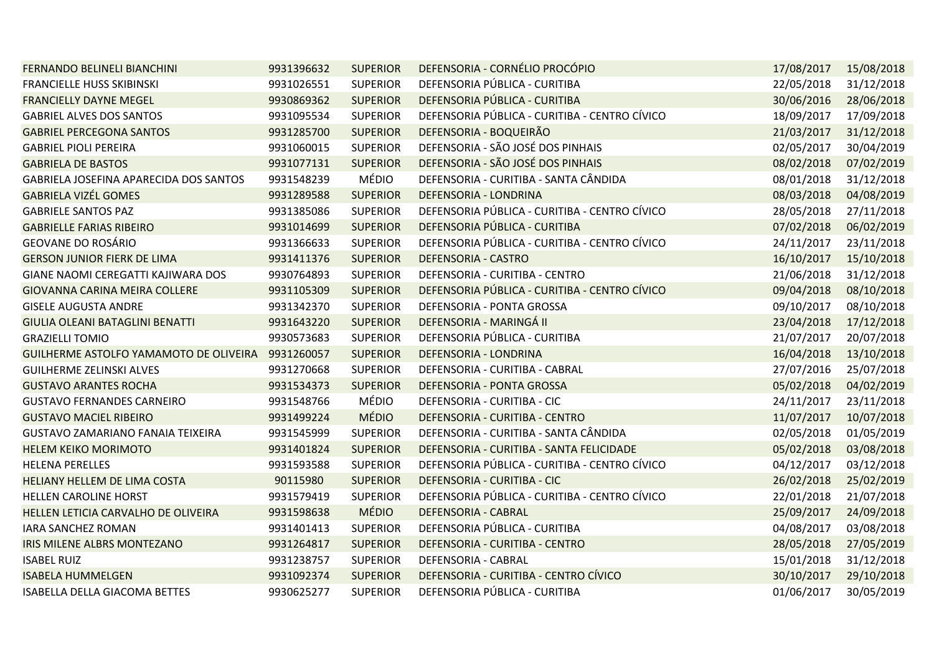| FERNANDO BELINELI BIANCHINI              | 9931396632 | <b>SUPERIOR</b> | DEFENSORIA - CORNÉLIO PROCÓPIO                | 17/08/2017 | 15/08/2018 |
|------------------------------------------|------------|-----------------|-----------------------------------------------|------------|------------|
| <b>FRANCIELLE HUSS SKIBINSKI</b>         | 9931026551 | <b>SUPERIOR</b> | DEFENSORIA PÚBLICA - CURITIBA                 | 22/05/2018 | 31/12/2018 |
| <b>FRANCIELLY DAYNE MEGEL</b>            | 9930869362 | <b>SUPERIOR</b> | DEFENSORIA PÚBLICA - CURITIBA                 | 30/06/2016 | 28/06/2018 |
| <b>GABRIEL ALVES DOS SANTOS</b>          | 9931095534 | <b>SUPERIOR</b> | DEFENSORIA PÚBLICA - CURITIBA - CENTRO CÍVICO | 18/09/2017 | 17/09/2018 |
| <b>GABRIEL PERCEGONA SANTOS</b>          | 9931285700 | <b>SUPERIOR</b> | DEFENSORIA - BOQUEIRÃO                        | 21/03/2017 | 31/12/2018 |
| <b>GABRIEL PIOLI PEREIRA</b>             | 9931060015 | <b>SUPERIOR</b> | DEFENSORIA - SÃO JOSÉ DOS PINHAIS             | 02/05/2017 | 30/04/2019 |
| <b>GABRIELA DE BASTOS</b>                | 9931077131 | <b>SUPERIOR</b> | DEFENSORIA - SÃO JOSÉ DOS PINHAIS             | 08/02/2018 | 07/02/2019 |
| GABRIELA JOSEFINA APARECIDA DOS SANTOS   | 9931548239 | MÉDIO           | DEFENSORIA - CURITIBA - SANTA CÂNDIDA         | 08/01/2018 | 31/12/2018 |
| <b>GABRIELA VIZÉL GOMES</b>              | 9931289588 | <b>SUPERIOR</b> | DEFENSORIA - LONDRINA                         | 08/03/2018 | 04/08/2019 |
| <b>GABRIELE SANTOS PAZ</b>               | 9931385086 | <b>SUPERIOR</b> | DEFENSORIA PÚBLICA - CURITIBA - CENTRO CÍVICO | 28/05/2018 | 27/11/2018 |
| <b>GABRIELLE FARIAS RIBEIRO</b>          | 9931014699 | <b>SUPERIOR</b> | DEFENSORIA PÚBLICA - CURITIBA                 | 07/02/2018 | 06/02/2019 |
| GEOVANE DO ROSÁRIO                       | 9931366633 | <b>SUPERIOR</b> | DEFENSORIA PÚBLICA - CURITIBA - CENTRO CÍVICO | 24/11/2017 | 23/11/2018 |
| <b>GERSON JUNIOR FIERK DE LIMA</b>       | 9931411376 | <b>SUPERIOR</b> | <b>DEFENSORIA - CASTRO</b>                    | 16/10/2017 | 15/10/2018 |
| GIANE NAOMI CEREGATTI KAJIWARA DOS       | 9930764893 | <b>SUPERIOR</b> | DEFENSORIA - CURITIBA - CENTRO                | 21/06/2018 | 31/12/2018 |
| GIOVANNA CARINA MEIRA COLLERE            | 9931105309 | <b>SUPERIOR</b> | DEFENSORIA PÚBLICA - CURITIBA - CENTRO CÍVICO | 09/04/2018 | 08/10/2018 |
| <b>GISELE AUGUSTA ANDRE</b>              | 9931342370 | <b>SUPERIOR</b> | DEFENSORIA - PONTA GROSSA                     | 09/10/2017 | 08/10/2018 |
| GIULIA OLEANI BATAGLINI BENATTI          | 9931643220 | <b>SUPERIOR</b> | DEFENSORIA - MARINGÁ II                       | 23/04/2018 | 17/12/2018 |
| <b>GRAZIELLI TOMIO</b>                   | 9930573683 | <b>SUPERIOR</b> | DEFENSORIA PÚBLICA - CURITIBA                 | 21/07/2017 | 20/07/2018 |
| GUILHERME ASTOLFO YAMAMOTO DE OLIVEIRA   | 9931260057 | <b>SUPERIOR</b> | DEFENSORIA - LONDRINA                         | 16/04/2018 | 13/10/2018 |
| <b>GUILHERME ZELINSKI ALVES</b>          | 9931270668 | <b>SUPERIOR</b> | DEFENSORIA - CURITIBA - CABRAL                | 27/07/2016 | 25/07/2018 |
| <b>GUSTAVO ARANTES ROCHA</b>             | 9931534373 | <b>SUPERIOR</b> | DEFENSORIA - PONTA GROSSA                     | 05/02/2018 | 04/02/2019 |
| <b>GUSTAVO FERNANDES CARNEIRO</b>        | 9931548766 | MÉDIO           | DEFENSORIA - CURITIBA - CIC                   | 24/11/2017 | 23/11/2018 |
| <b>GUSTAVO MACIEL RIBEIRO</b>            | 9931499224 | <b>MÉDIO</b>    | DEFENSORIA - CURITIBA - CENTRO                | 11/07/2017 | 10/07/2018 |
| <b>GUSTAVO ZAMARIANO FANAIA TEIXEIRA</b> | 9931545999 | <b>SUPERIOR</b> | DEFENSORIA - CURITIBA - SANTA CÂNDIDA         | 02/05/2018 | 01/05/2019 |
| <b>HELEM KEIKO MORIMOTO</b>              | 9931401824 | <b>SUPERIOR</b> | DEFENSORIA - CURITIBA - SANTA FELICIDADE      | 05/02/2018 | 03/08/2018 |
| <b>HELENA PERELLES</b>                   | 9931593588 | <b>SUPERIOR</b> | DEFENSORIA PÚBLICA - CURITIBA - CENTRO CÍVICO | 04/12/2017 | 03/12/2018 |
| HELIANY HELLEM DE LIMA COSTA             | 90115980   | <b>SUPERIOR</b> | DEFENSORIA - CURITIBA - CIC                   | 26/02/2018 | 25/02/2019 |
| HELLEN CAROLINE HORST                    | 9931579419 | <b>SUPERIOR</b> | DEFENSORIA PÚBLICA - CURITIBA - CENTRO CÍVICO | 22/01/2018 | 21/07/2018 |
| HELLEN LETICIA CARVALHO DE OLIVEIRA      | 9931598638 | <b>MÉDIO</b>    | <b>DEFENSORIA - CABRAL</b>                    | 25/09/2017 | 24/09/2018 |
| <b>IARA SANCHEZ ROMAN</b>                | 9931401413 | <b>SUPERIOR</b> | DEFENSORIA PÚBLICA - CURITIBA                 | 04/08/2017 | 03/08/2018 |
| <b>IRIS MILENE ALBRS MONTEZANO</b>       | 9931264817 | <b>SUPERIOR</b> | DEFENSORIA - CURITIBA - CENTRO                | 28/05/2018 | 27/05/2019 |
| <b>ISABEL RUIZ</b>                       | 9931238757 | <b>SUPERIOR</b> | DEFENSORIA - CABRAL                           | 15/01/2018 | 31/12/2018 |
| <b>ISABELA HUMMELGEN</b>                 | 9931092374 | <b>SUPERIOR</b> | DEFENSORIA - CURITIBA - CENTRO CÍVICO         | 30/10/2017 | 29/10/2018 |
| ISABELLA DELLA GIACOMA BETTES            | 9930625277 | <b>SUPERIOR</b> | DEFENSORIA PÚBLICA - CURITIBA                 | 01/06/2017 | 30/05/2019 |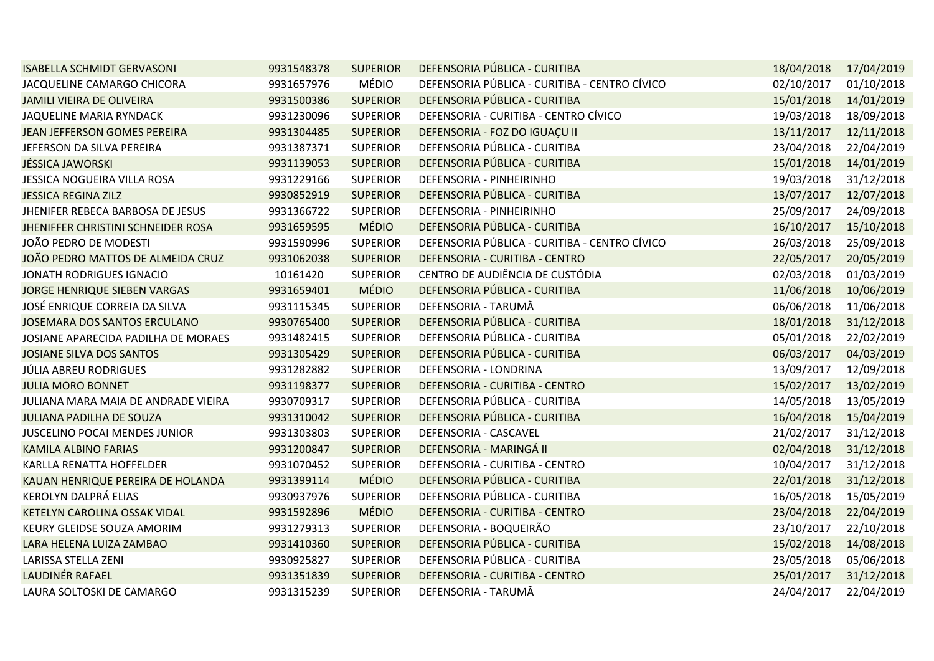| <b>ISABELLA SCHMIDT GERVASONI</b>   | 9931548378 | <b>SUPERIOR</b> | DEFENSORIA PÚBLICA - CURITIBA                 | 18/04/2018 | 17/04/2019 |
|-------------------------------------|------------|-----------------|-----------------------------------------------|------------|------------|
| JACQUELINE CAMARGO CHICORA          | 9931657976 | MÉDIO           | DEFENSORIA PÚBLICA - CURITIBA - CENTRO CÍVICO | 02/10/2017 | 01/10/2018 |
| <b>JAMILI VIEIRA DE OLIVEIRA</b>    | 9931500386 | <b>SUPERIOR</b> | DEFENSORIA PÚBLICA - CURITIBA                 | 15/01/2018 | 14/01/2019 |
| JAQUELINE MARIA RYNDACK             | 9931230096 | <b>SUPERIOR</b> | DEFENSORIA - CURITIBA - CENTRO CÍVICO         | 19/03/2018 | 18/09/2018 |
| JEAN JEFFERSON GOMES PEREIRA        | 9931304485 | <b>SUPERIOR</b> | DEFENSORIA - FOZ DO IGUAÇU II                 | 13/11/2017 | 12/11/2018 |
| JEFERSON DA SILVA PEREIRA           | 9931387371 | <b>SUPERIOR</b> | DEFENSORIA PÚBLICA - CURITIBA                 | 23/04/2018 | 22/04/2019 |
| <b>JÉSSICA JAWORSKI</b>             | 9931139053 | <b>SUPERIOR</b> | DEFENSORIA PÚBLICA - CURITIBA                 | 15/01/2018 | 14/01/2019 |
| JESSICA NOGUEIRA VILLA ROSA         | 9931229166 | <b>SUPERIOR</b> | DEFENSORIA - PINHEIRINHO                      | 19/03/2018 | 31/12/2018 |
| <b>JESSICA REGINA ZILZ</b>          | 9930852919 | <b>SUPERIOR</b> | DEFENSORIA PÚBLICA - CURITIBA                 | 13/07/2017 | 12/07/2018 |
| JHENIFER REBECA BARBOSA DE JESUS    | 9931366722 | <b>SUPERIOR</b> | DEFENSORIA - PINHEIRINHO                      | 25/09/2017 | 24/09/2018 |
| JHENIFFER CHRISTINI SCHNEIDER ROSA  | 9931659595 | <b>MÉDIO</b>    | DEFENSORIA PÚBLICA - CURITIBA                 | 16/10/2017 | 15/10/2018 |
| JOÃO PEDRO DE MODESTI               | 9931590996 | <b>SUPERIOR</b> | DEFENSORIA PÚBLICA - CURITIBA - CENTRO CÍVICO | 26/03/2018 | 25/09/2018 |
| JOÃO PEDRO MATTOS DE ALMEIDA CRUZ   | 9931062038 | <b>SUPERIOR</b> | DEFENSORIA - CURITIBA - CENTRO                | 22/05/2017 | 20/05/2019 |
| JONATH RODRIGUES IGNACIO            | 10161420   | <b>SUPERIOR</b> | CENTRO DE AUDIÊNCIA DE CUSTÓDIA               | 02/03/2018 | 01/03/2019 |
| JORGE HENRIQUE SIEBEN VARGAS        | 9931659401 | <b>MÉDIO</b>    | DEFENSORIA PÚBLICA - CURITIBA                 | 11/06/2018 | 10/06/2019 |
| JOSÉ ENRIQUE CORREIA DA SILVA       | 9931115345 | <b>SUPERIOR</b> | DEFENSORIA - TARUMÃ                           | 06/06/2018 | 11/06/2018 |
| JOSEMARA DOS SANTOS ERCULANO        | 9930765400 | <b>SUPERIOR</b> | DEFENSORIA PÚBLICA - CURITIBA                 | 18/01/2018 | 31/12/2018 |
| JOSIANE APARECIDA PADILHA DE MORAES | 9931482415 | <b>SUPERIOR</b> | DEFENSORIA PÚBLICA - CURITIBA                 | 05/01/2018 | 22/02/2019 |
| JOSIANE SILVA DOS SANTOS            | 9931305429 | <b>SUPERIOR</b> | DEFENSORIA PÚBLICA - CURITIBA                 | 06/03/2017 | 04/03/2019 |
| <b>JÚLIA ABREU RODRIGUES</b>        | 9931282882 | <b>SUPERIOR</b> | DEFENSORIA - LONDRINA                         | 13/09/2017 | 12/09/2018 |
| <b>JULIA MORO BONNET</b>            | 9931198377 | <b>SUPERIOR</b> | DEFENSORIA - CURITIBA - CENTRO                | 15/02/2017 | 13/02/2019 |
| JULIANA MARA MAIA DE ANDRADE VIEIRA | 9930709317 | <b>SUPERIOR</b> | DEFENSORIA PÚBLICA - CURITIBA                 | 14/05/2018 | 13/05/2019 |
| <b>JULIANA PADILHA DE SOUZA</b>     | 9931310042 | <b>SUPERIOR</b> | DEFENSORIA PÚBLICA - CURITIBA                 | 16/04/2018 | 15/04/2019 |
| JUSCELINO POCAI MENDES JUNIOR       | 9931303803 | <b>SUPERIOR</b> | DEFENSORIA - CASCAVEL                         | 21/02/2017 | 31/12/2018 |
| <b>KAMILA ALBINO FARIAS</b>         | 9931200847 | <b>SUPERIOR</b> | DEFENSORIA - MARINGÁ II                       | 02/04/2018 | 31/12/2018 |
| KARLLA RENATTA HOFFELDER            | 9931070452 | <b>SUPERIOR</b> | DEFENSORIA - CURITIBA - CENTRO                | 10/04/2017 | 31/12/2018 |
| KAUAN HENRIQUE PEREIRA DE HOLANDA   | 9931399114 | <b>MÉDIO</b>    | DEFENSORIA PÚBLICA - CURITIBA                 | 22/01/2018 | 31/12/2018 |
| KEROLYN DALPRÁ ELIAS                | 9930937976 | <b>SUPERIOR</b> | DEFENSORIA PÚBLICA - CURITIBA                 | 16/05/2018 | 15/05/2019 |
| KETELYN CAROLINA OSSAK VIDAL        | 9931592896 | <b>MÉDIO</b>    | DEFENSORIA - CURITIBA - CENTRO                | 23/04/2018 | 22/04/2019 |
| KEURY GLEIDSE SOUZA AMORIM          | 9931279313 | <b>SUPERIOR</b> | DEFENSORIA - BOQUEIRÃO                        | 23/10/2017 | 22/10/2018 |
| LARA HELENA LUIZA ZAMBAO            | 9931410360 | <b>SUPERIOR</b> | DEFENSORIA PÚBLICA - CURITIBA                 | 15/02/2018 | 14/08/2018 |
| LARISSA STELLA ZENI                 | 9930925827 | <b>SUPERIOR</b> | DEFENSORIA PÚBLICA - CURITIBA                 | 23/05/2018 | 05/06/2018 |
| LAUDINÉR RAFAEL                     | 9931351839 | <b>SUPERIOR</b> | DEFENSORIA - CURITIBA - CENTRO                | 25/01/2017 | 31/12/2018 |
| LAURA SOLTOSKI DE CAMARGO           | 9931315239 | <b>SUPERIOR</b> | DEFENSORIA - TARUMÃ                           | 24/04/2017 | 22/04/2019 |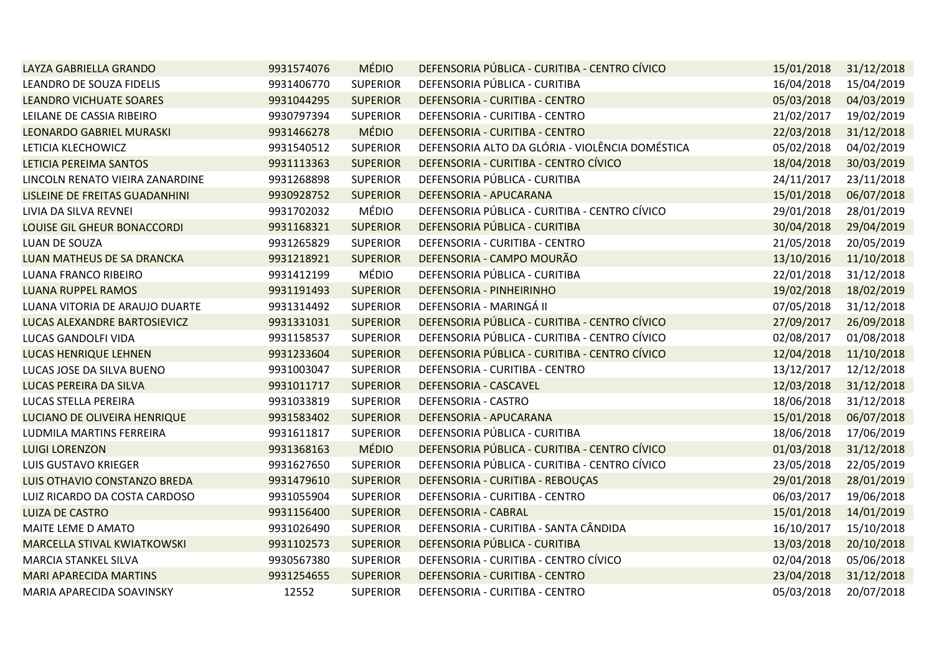| LAYZA GABRIELLA GRANDO             | 9931574076 | <b>MÉDIO</b>    | DEFENSORIA PÚBLICA - CURITIBA - CENTRO CÍVICO   | 15/01/2018 | 31/12/2018 |
|------------------------------------|------------|-----------------|-------------------------------------------------|------------|------------|
| LEANDRO DE SOUZA FIDELIS           | 9931406770 | <b>SUPERIOR</b> | DEFENSORIA PÚBLICA - CURITIBA                   | 16/04/2018 | 15/04/2019 |
| <b>LEANDRO VICHUATE SOARES</b>     | 9931044295 | <b>SUPERIOR</b> | DEFENSORIA - CURITIBA - CENTRO                  | 05/03/2018 | 04/03/2019 |
| LEILANE DE CASSIA RIBEIRO          | 9930797394 | <b>SUPERIOR</b> | DEFENSORIA - CURITIBA - CENTRO                  | 21/02/2017 | 19/02/2019 |
| <b>LEONARDO GABRIEL MURASKI</b>    | 9931466278 | <b>MÉDIO</b>    | DEFENSORIA - CURITIBA - CENTRO                  | 22/03/2018 | 31/12/2018 |
| LETICIA KLECHOWICZ                 | 9931540512 | <b>SUPERIOR</b> | DEFENSORIA ALTO DA GLÓRIA - VIOLÊNCIA DOMÉSTICA | 05/02/2018 | 04/02/2019 |
| LETICIA PEREIMA SANTOS             | 9931113363 | <b>SUPERIOR</b> | DEFENSORIA - CURITIBA - CENTRO CÍVICO           | 18/04/2018 | 30/03/2019 |
| LINCOLN RENATO VIEIRA ZANARDINE    | 9931268898 | <b>SUPERIOR</b> | DEFENSORIA PÚBLICA - CURITIBA                   | 24/11/2017 | 23/11/2018 |
| LISLEINE DE FREITAS GUADANHINI     | 9930928752 | <b>SUPERIOR</b> | DEFENSORIA - APUCARANA                          | 15/01/2018 | 06/07/2018 |
| LIVIA DA SILVA REVNEI              | 9931702032 | MÉDIO           | DEFENSORIA PÚBLICA - CURITIBA - CENTRO CÍVICO   | 29/01/2018 | 28/01/2019 |
| LOUISE GIL GHEUR BONACCORDI        | 9931168321 | <b>SUPERIOR</b> | DEFENSORIA PÚBLICA - CURITIBA                   | 30/04/2018 | 29/04/2019 |
| LUAN DE SOUZA                      | 9931265829 | <b>SUPERIOR</b> | DEFENSORIA - CURITIBA - CENTRO                  | 21/05/2018 | 20/05/2019 |
| LUAN MATHEUS DE SA DRANCKA         | 9931218921 | <b>SUPERIOR</b> | DEFENSORIA - CAMPO MOURÃO                       | 13/10/2016 | 11/10/2018 |
| LUANA FRANCO RIBEIRO               | 9931412199 | MÉDIO           | DEFENSORIA PÚBLICA - CURITIBA                   | 22/01/2018 | 31/12/2018 |
| <b>LUANA RUPPEL RAMOS</b>          | 9931191493 | <b>SUPERIOR</b> | DEFENSORIA - PINHEIRINHO                        | 19/02/2018 | 18/02/2019 |
| LUANA VITORIA DE ARAUJO DUARTE     | 9931314492 | <b>SUPERIOR</b> | DEFENSORIA - MARINGÁ II                         | 07/05/2018 | 31/12/2018 |
| LUCAS ALEXANDRE BARTOSIEVICZ       | 9931331031 | <b>SUPERIOR</b> | DEFENSORIA PÚBLICA - CURITIBA - CENTRO CÍVICO   | 27/09/2017 | 26/09/2018 |
| LUCAS GANDOLFI VIDA                | 9931158537 | <b>SUPERIOR</b> | DEFENSORIA PÚBLICA - CURITIBA - CENTRO CÍVICO   | 02/08/2017 | 01/08/2018 |
| <b>LUCAS HENRIQUE LEHNEN</b>       | 9931233604 | <b>SUPERIOR</b> | DEFENSORIA PÚBLICA - CURITIBA - CENTRO CÍVICO   | 12/04/2018 | 11/10/2018 |
| LUCAS JOSE DA SILVA BUENO          | 9931003047 | <b>SUPERIOR</b> | DEFENSORIA - CURITIBA - CENTRO                  | 13/12/2017 | 12/12/2018 |
| LUCAS PEREIRA DA SILVA             | 9931011717 | <b>SUPERIOR</b> | DEFENSORIA - CASCAVEL                           | 12/03/2018 | 31/12/2018 |
| LUCAS STELLA PEREIRA               | 9931033819 | <b>SUPERIOR</b> | DEFENSORIA - CASTRO                             | 18/06/2018 | 31/12/2018 |
| LUCIANO DE OLIVEIRA HENRIQUE       | 9931583402 | <b>SUPERIOR</b> | DEFENSORIA - APUCARANA                          | 15/01/2018 | 06/07/2018 |
| LUDMILA MARTINS FERREIRA           | 9931611817 | <b>SUPERIOR</b> | DEFENSORIA PÚBLICA - CURITIBA                   | 18/06/2018 | 17/06/2019 |
| <b>LUIGI LORENZON</b>              | 9931368163 | <b>MÉDIO</b>    | DEFENSORIA PÚBLICA - CURITIBA - CENTRO CÍVICO   | 01/03/2018 | 31/12/2018 |
| LUIS GUSTAVO KRIEGER               | 9931627650 | <b>SUPERIOR</b> | DEFENSORIA PÚBLICA - CURITIBA - CENTRO CÍVICO   | 23/05/2018 | 22/05/2019 |
| LUIS OTHAVIO CONSTANZO BREDA       | 9931479610 | <b>SUPERIOR</b> | DEFENSORIA - CURITIBA - REBOUÇAS                | 29/01/2018 | 28/01/2019 |
| LUIZ RICARDO DA COSTA CARDOSO      | 9931055904 | <b>SUPERIOR</b> | DEFENSORIA - CURITIBA - CENTRO                  | 06/03/2017 | 19/06/2018 |
| <b>LUIZA DE CASTRO</b>             | 9931156400 | <b>SUPERIOR</b> | <b>DEFENSORIA - CABRAL</b>                      | 15/01/2018 | 14/01/2019 |
| MAITE LEME D AMATO                 | 9931026490 | <b>SUPERIOR</b> | DEFENSORIA - CURITIBA - SANTA CÂNDIDA           | 16/10/2017 | 15/10/2018 |
| <b>MARCELLA STIVAL KWIATKOWSKI</b> | 9931102573 | <b>SUPERIOR</b> | DEFENSORIA PÚBLICA - CURITIBA                   | 13/03/2018 | 20/10/2018 |
| MARCIA STANKEL SILVA               | 9930567380 | <b>SUPERIOR</b> | DEFENSORIA - CURITIBA - CENTRO CÍVICO           | 02/04/2018 | 05/06/2018 |
| <b>MARI APARECIDA MARTINS</b>      | 9931254655 | <b>SUPERIOR</b> | DEFENSORIA - CURITIBA - CENTRO                  | 23/04/2018 | 31/12/2018 |
| MARIA APARECIDA SOAVINSKY          | 12552      | <b>SUPERIOR</b> | DEFENSORIA - CURITIBA - CENTRO                  | 05/03/2018 | 20/07/2018 |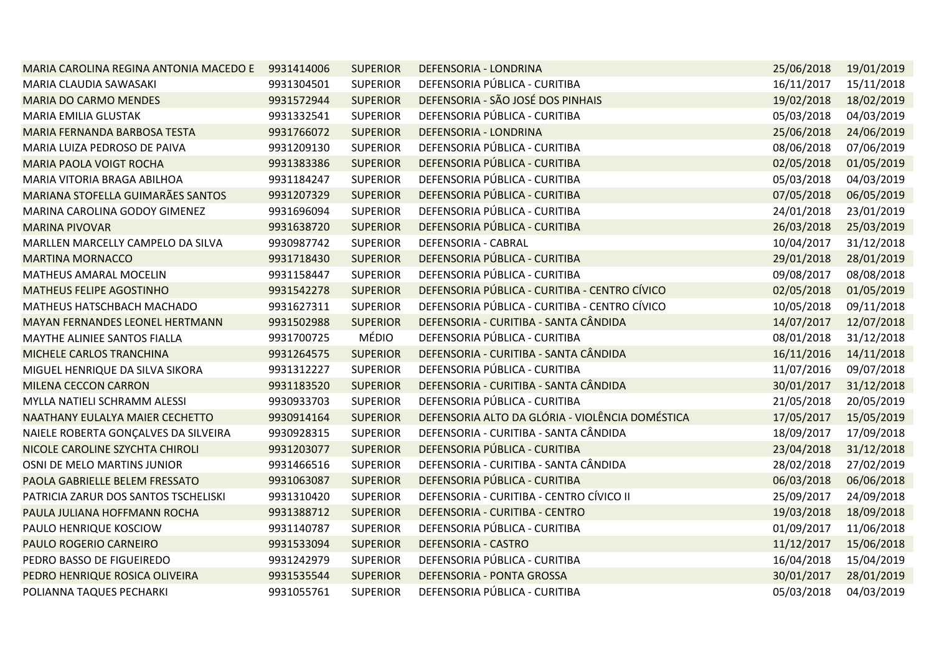| MARIA CAROLINA REGINA ANTONIA MACEDO E 9931414006 |            | <b>SUPERIOR</b> | DEFENSORIA - LONDRINA                           | 25/06/2018 | 19/01/2019 |
|---------------------------------------------------|------------|-----------------|-------------------------------------------------|------------|------------|
| MARIA CLAUDIA SAWASAKI                            | 9931304501 | <b>SUPERIOR</b> | DEFENSORIA PÚBLICA - CURITIBA                   | 16/11/2017 | 15/11/2018 |
| <b>MARIA DO CARMO MENDES</b>                      | 9931572944 | <b>SUPERIOR</b> | DEFENSORIA - SÃO JOSÉ DOS PINHAIS               | 19/02/2018 | 18/02/2019 |
| MARIA EMILIA GLUSTAK                              | 9931332541 | <b>SUPERIOR</b> | DEFENSORIA PÚBLICA - CURITIBA                   | 05/03/2018 | 04/03/2019 |
| MARIA FERNANDA BARBOSA TESTA                      | 9931766072 | <b>SUPERIOR</b> | DEFENSORIA - LONDRINA                           | 25/06/2018 | 24/06/2019 |
| MARIA LUIZA PEDROSO DE PAIVA                      | 9931209130 | <b>SUPERIOR</b> | DEFENSORIA PÚBLICA - CURITIBA                   | 08/06/2018 | 07/06/2019 |
| <b>MARIA PAOLA VOIGT ROCHA</b>                    | 9931383386 | <b>SUPERIOR</b> | DEFENSORIA PÚBLICA - CURITIBA                   | 02/05/2018 | 01/05/2019 |
| MARIA VITORIA BRAGA ABILHOA                       | 9931184247 | <b>SUPERIOR</b> | DEFENSORIA PÚBLICA - CURITIBA                   | 05/03/2018 | 04/03/2019 |
| MARIANA STOFELLA GUIMARÃES SANTOS                 | 9931207329 | <b>SUPERIOR</b> | DEFENSORIA PÚBLICA - CURITIBA                   | 07/05/2018 | 06/05/2019 |
| MARINA CAROLINA GODOY GIMENEZ                     | 9931696094 | <b>SUPERIOR</b> | DEFENSORIA PÚBLICA - CURITIBA                   | 24/01/2018 | 23/01/2019 |
| <b>MARINA PIVOVAR</b>                             | 9931638720 | <b>SUPERIOR</b> | DEFENSORIA PÚBLICA - CURITIBA                   | 26/03/2018 | 25/03/2019 |
| MARLLEN MARCELLY CAMPELO DA SILVA                 | 9930987742 | <b>SUPERIOR</b> | DEFENSORIA - CABRAL                             | 10/04/2017 | 31/12/2018 |
| <b>MARTINA MORNACCO</b>                           | 9931718430 | <b>SUPERIOR</b> | DEFENSORIA PÚBLICA - CURITIBA                   | 29/01/2018 | 28/01/2019 |
| MATHEUS AMARAL MOCELIN                            | 9931158447 | <b>SUPERIOR</b> | DEFENSORIA PÚBLICA - CURITIBA                   | 09/08/2017 | 08/08/2018 |
| <b>MATHEUS FELIPE AGOSTINHO</b>                   | 9931542278 | <b>SUPERIOR</b> | DEFENSORIA PÚBLICA - CURITIBA - CENTRO CÍVICO   | 02/05/2018 | 01/05/2019 |
| MATHEUS HATSCHBACH MACHADO                        | 9931627311 | <b>SUPERIOR</b> | DEFENSORIA PÚBLICA - CURITIBA - CENTRO CÍVICO   | 10/05/2018 | 09/11/2018 |
| MAYAN FERNANDES LEONEL HERTMANN                   | 9931502988 | <b>SUPERIOR</b> | DEFENSORIA - CURITIBA - SANTA CÂNDIDA           | 14/07/2017 | 12/07/2018 |
| MAYTHE ALINIEE SANTOS FIALLA                      | 9931700725 | <b>MÉDIO</b>    | DEFENSORIA PÚBLICA - CURITIBA                   | 08/01/2018 | 31/12/2018 |
| MICHELE CARLOS TRANCHINA                          | 9931264575 | <b>SUPERIOR</b> | DEFENSORIA - CURITIBA - SANTA CÂNDIDA           | 16/11/2016 | 14/11/2018 |
| MIGUEL HENRIQUE DA SILVA SIKORA                   | 9931312227 | <b>SUPERIOR</b> | DEFENSORIA PÚBLICA - CURITIBA                   | 11/07/2016 | 09/07/2018 |
| MILENA CECCON CARRON                              | 9931183520 | <b>SUPERIOR</b> | DEFENSORIA - CURITIBA - SANTA CÂNDIDA           | 30/01/2017 | 31/12/2018 |
| MYLLA NATIELI SCHRAMM ALESSI                      | 9930933703 | <b>SUPERIOR</b> | DEFENSORIA PÚBLICA - CURITIBA                   | 21/05/2018 | 20/05/2019 |
| NAATHANY EULALYA MAIER CECHETTO                   | 9930914164 | <b>SUPERIOR</b> | DEFENSORIA ALTO DA GLÓRIA - VIOLÊNCIA DOMÉSTICA | 17/05/2017 | 15/05/2019 |
| NAIELE ROBERTA GONÇALVES DA SILVEIRA              | 9930928315 | <b>SUPERIOR</b> | DEFENSORIA - CURITIBA - SANTA CÂNDIDA           | 18/09/2017 | 17/09/2018 |
| NICOLE CAROLINE SZYCHTA CHIROLI                   | 9931203077 | <b>SUPERIOR</b> | DEFENSORIA PÚBLICA - CURITIBA                   | 23/04/2018 | 31/12/2018 |
| OSNI DE MELO MARTINS JUNIOR                       | 9931466516 | <b>SUPERIOR</b> | DEFENSORIA - CURITIBA - SANTA CÂNDIDA           | 28/02/2018 | 27/02/2019 |
| PAOLA GABRIELLE BELEM FRESSATO                    | 9931063087 | <b>SUPERIOR</b> | DEFENSORIA PÚBLICA - CURITIBA                   | 06/03/2018 | 06/06/2018 |
| PATRICIA ZARUR DOS SANTOS TSCHELISKI              | 9931310420 | <b>SUPERIOR</b> | DEFENSORIA - CURITIBA - CENTRO CÍVICO II        | 25/09/2017 | 24/09/2018 |
| PAULA JULIANA HOFFMANN ROCHA                      | 9931388712 | <b>SUPERIOR</b> | DEFENSORIA - CURITIBA - CENTRO                  | 19/03/2018 | 18/09/2018 |
| PAULO HENRIQUE KOSCIOW                            | 9931140787 | <b>SUPERIOR</b> | DEFENSORIA PÚBLICA - CURITIBA                   | 01/09/2017 | 11/06/2018 |
| PAULO ROGERIO CARNEIRO                            | 9931533094 | <b>SUPERIOR</b> | <b>DEFENSORIA - CASTRO</b>                      | 11/12/2017 | 15/06/2018 |
| PEDRO BASSO DE FIGUEIREDO                         | 9931242979 | <b>SUPERIOR</b> | DEFENSORIA PÚBLICA - CURITIBA                   | 16/04/2018 | 15/04/2019 |
| PEDRO HENRIQUE ROSICA OLIVEIRA                    | 9931535544 | <b>SUPERIOR</b> | DEFENSORIA - PONTA GROSSA                       | 30/01/2017 | 28/01/2019 |
| POLIANNA TAQUES PECHARKI                          | 9931055761 | <b>SUPERIOR</b> | DEFENSORIA PÚBLICA - CURITIBA                   | 05/03/2018 | 04/03/2019 |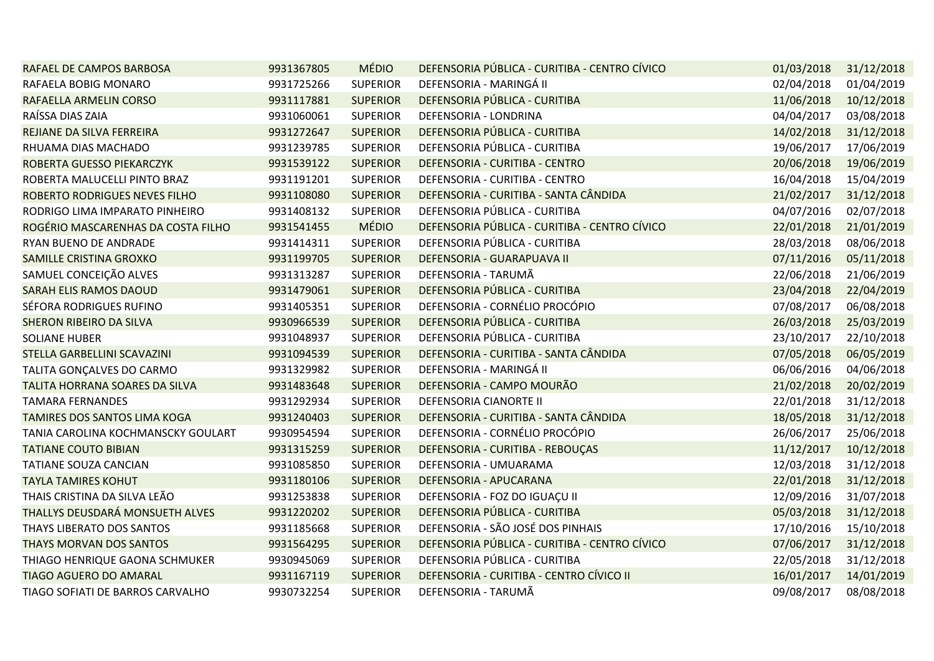| RAFAEL DE CAMPOS BARBOSA           | 9931367805 | <b>MÉDIO</b>    | DEFENSORIA PÚBLICA - CURITIBA - CENTRO CÍVICO | 01/03/2018 | 31/12/2018 |
|------------------------------------|------------|-----------------|-----------------------------------------------|------------|------------|
| RAFAELA BOBIG MONARO               | 9931725266 | <b>SUPERIOR</b> | DEFENSORIA - MARINGÁ II                       | 02/04/2018 | 01/04/2019 |
| RAFAELLA ARMELIN CORSO             | 9931117881 | <b>SUPERIOR</b> | DEFENSORIA PÚBLICA - CURITIBA                 | 11/06/2018 | 10/12/2018 |
| RAÍSSA DIAS ZAIA                   | 9931060061 | <b>SUPERIOR</b> | DEFENSORIA - LONDRINA                         | 04/04/2017 | 03/08/2018 |
| REJIANE DA SILVA FERREIRA          | 9931272647 | <b>SUPERIOR</b> | DEFENSORIA PÚBLICA - CURITIBA                 | 14/02/2018 | 31/12/2018 |
| RHUAMA DIAS MACHADO                | 9931239785 | <b>SUPERIOR</b> | DEFENSORIA PÚBLICA - CURITIBA                 | 19/06/2017 | 17/06/2019 |
| ROBERTA GUESSO PIEKARCZYK          | 9931539122 | <b>SUPERIOR</b> | DEFENSORIA - CURITIBA - CENTRO                | 20/06/2018 | 19/06/2019 |
| ROBERTA MALUCELLI PINTO BRAZ       | 9931191201 | <b>SUPERIOR</b> | DEFENSORIA - CURITIBA - CENTRO                | 16/04/2018 | 15/04/2019 |
| ROBERTO RODRIGUES NEVES FILHO      | 9931108080 | <b>SUPERIOR</b> | DEFENSORIA - CURITIBA - SANTA CÂNDIDA         | 21/02/2017 | 31/12/2018 |
| RODRIGO LIMA IMPARATO PINHEIRO     | 9931408132 | <b>SUPERIOR</b> | DEFENSORIA PÚBLICA - CURITIBA                 | 04/07/2016 | 02/07/2018 |
| ROGÉRIO MASCARENHAS DA COSTA FILHO | 9931541455 | <b>MÉDIO</b>    | DEFENSORIA PÚBLICA - CURITIBA - CENTRO CÍVICO | 22/01/2018 | 21/01/2019 |
| RYAN BUENO DE ANDRADE              | 9931414311 | <b>SUPERIOR</b> | DEFENSORIA PÚBLICA - CURITIBA                 | 28/03/2018 | 08/06/2018 |
| SAMILLE CRISTINA GROXKO            | 9931199705 | <b>SUPERIOR</b> | DEFENSORIA - GUARAPUAVA II                    | 07/11/2016 | 05/11/2018 |
| SAMUEL CONCEIÇÃO ALVES             | 9931313287 | <b>SUPERIOR</b> | DEFENSORIA - TARUMÃ                           | 22/06/2018 | 21/06/2019 |
| <b>SARAH ELIS RAMOS DAOUD</b>      | 9931479061 | <b>SUPERIOR</b> | DEFENSORIA PÚBLICA - CURITIBA                 | 23/04/2018 | 22/04/2019 |
| SÉFORA RODRIGUES RUFINO            | 9931405351 | <b>SUPERIOR</b> | DEFENSORIA - CORNÉLIO PROCÓPIO                | 07/08/2017 | 06/08/2018 |
| <b>SHERON RIBEIRO DA SILVA</b>     | 9930966539 | <b>SUPERIOR</b> | DEFENSORIA PÚBLICA - CURITIBA                 | 26/03/2018 | 25/03/2019 |
| <b>SOLIANE HUBER</b>               | 9931048937 | <b>SUPERIOR</b> | DEFENSORIA PÚBLICA - CURITIBA                 | 23/10/2017 | 22/10/2018 |
| STELLA GARBELLINI SCAVAZINI        | 9931094539 | <b>SUPERIOR</b> | DEFENSORIA - CURITIBA - SANTA CÂNDIDA         | 07/05/2018 | 06/05/2019 |
| TALITA GONÇALVES DO CARMO          | 9931329982 | <b>SUPERIOR</b> | DEFENSORIA - MARINGÁ II                       | 06/06/2016 | 04/06/2018 |
| TALITA HORRANA SOARES DA SILVA     | 9931483648 | <b>SUPERIOR</b> | DEFENSORIA - CAMPO MOURÃO                     | 21/02/2018 | 20/02/2019 |
| <b>TAMARA FERNANDES</b>            | 9931292934 | <b>SUPERIOR</b> | DEFENSORIA CIANORTE II                        | 22/01/2018 | 31/12/2018 |
| TAMIRES DOS SANTOS LIMA KOGA       | 9931240403 | <b>SUPERIOR</b> | DEFENSORIA - CURITIBA - SANTA CÂNDIDA         | 18/05/2018 | 31/12/2018 |
| TANIA CAROLINA KOCHMANSCKY GOULART | 9930954594 | <b>SUPERIOR</b> | DEFENSORIA - CORNÉLIO PROCÓPIO                | 26/06/2017 | 25/06/2018 |
| <b>TATIANE COUTO BIBIAN</b>        | 9931315259 | <b>SUPERIOR</b> | DEFENSORIA - CURITIBA - REBOUÇAS              | 11/12/2017 | 10/12/2018 |
| TATIANE SOUZA CANCIAN              | 9931085850 | <b>SUPERIOR</b> | DEFENSORIA - UMUARAMA                         | 12/03/2018 | 31/12/2018 |
| <b>TAYLA TAMIRES KOHUT</b>         | 9931180106 | <b>SUPERIOR</b> | DEFENSORIA - APUCARANA                        | 22/01/2018 | 31/12/2018 |
| THAIS CRISTINA DA SILVA LEÃO       | 9931253838 | <b>SUPERIOR</b> | DEFENSORIA - FOZ DO IGUAÇU II                 | 12/09/2016 | 31/07/2018 |
| THALLYS DEUSDARÁ MONSUETH ALVES    | 9931220202 | <b>SUPERIOR</b> | DEFENSORIA PÚBLICA - CURITIBA                 | 05/03/2018 | 31/12/2018 |
| THAYS LIBERATO DOS SANTOS          | 9931185668 | <b>SUPERIOR</b> | DEFENSORIA - SÃO JOSÉ DOS PINHAIS             | 17/10/2016 | 15/10/2018 |
| <b>THAYS MORVAN DOS SANTOS</b>     | 9931564295 | <b>SUPERIOR</b> | DEFENSORIA PÚBLICA - CURITIBA - CENTRO CÍVICO | 07/06/2017 | 31/12/2018 |
| THIAGO HENRIQUE GAONA SCHMUKER     | 9930945069 | <b>SUPERIOR</b> | DEFENSORIA PÚBLICA - CURITIBA                 | 22/05/2018 | 31/12/2018 |
| TIAGO AGUERO DO AMARAL             | 9931167119 | <b>SUPERIOR</b> | DEFENSORIA - CURITIBA - CENTRO CÍVICO II      | 16/01/2017 | 14/01/2019 |
| TIAGO SOFIATI DE BARROS CARVALHO   | 9930732254 | <b>SUPERIOR</b> | DEFENSORIA - TARUMÃ                           | 09/08/2017 | 08/08/2018 |